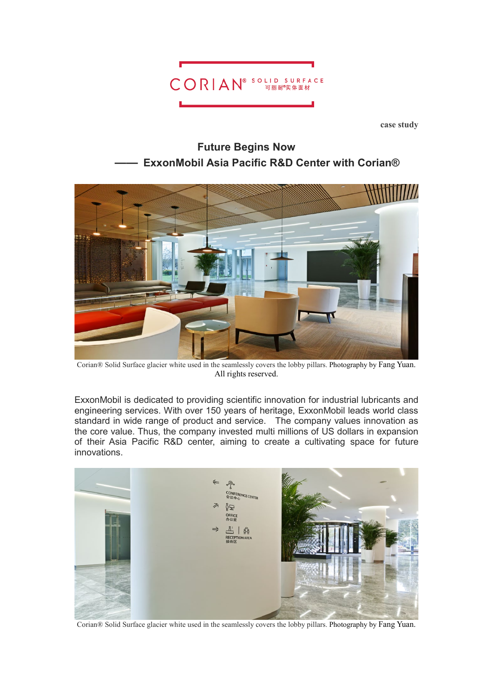

**case study**





Corian® Solid Surface glacier white used in the seamlessly covers the lobby pillars. Photography by Fang Yuan. All rights reserved.

ExxonMobil is dedicated to providing scientific innovation for industrial lubricants and engineering services. With over 150 years of heritage, ExxonMobil leads world class standard in wide range of product and service. The company values innovation as the core value. Thus, the company invested multi millions of US dollars in expansion of their Asia Pacific R&D center, aiming to create a cultivating space for future innovations.



Corian® Solid Surface glacier white used in the seamlessly covers the lobby pillars. Photography by Fang Yuan.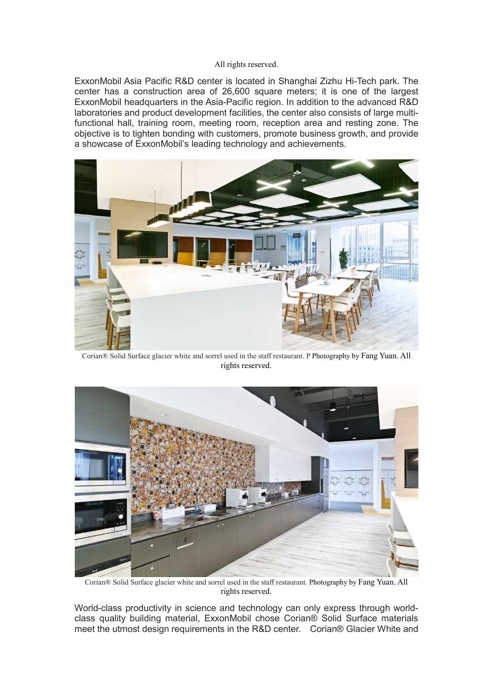## All rights reserved.

ExxonMobil Asia Pacific R&D center is located in Shanghai Zizhu Hi-Tech park. The center has a construction area of 26,600 square meters; it is one of the largest ExxonMobil headquarters in the Asia-Pacific region. In addition to the advanced R&D laboratories and product development facilities, the center also consists of large multifunctional hall, training room, meeting room, reception area and resting zone. The objective is to tighten bonding with customers, promote business growth, and provide a showcase of ExxonMobil's leading technology and achievements.



Corian® Solid Surface glacier white and sorrel used in the staff restaurant. P Photography by Fang Yuan. All rights reserved.



Corian® Solid Surface glacier white and sorrel used in the staff restaurant. Photography by Fang Yuan. All rights reserved.

World-class productivity in science and technology can only express through worldclass quality building material, ExxonMobil chose Corian® Solid Surface materials meet the utmost design requirements in the R&D center. Corian® Glacier White and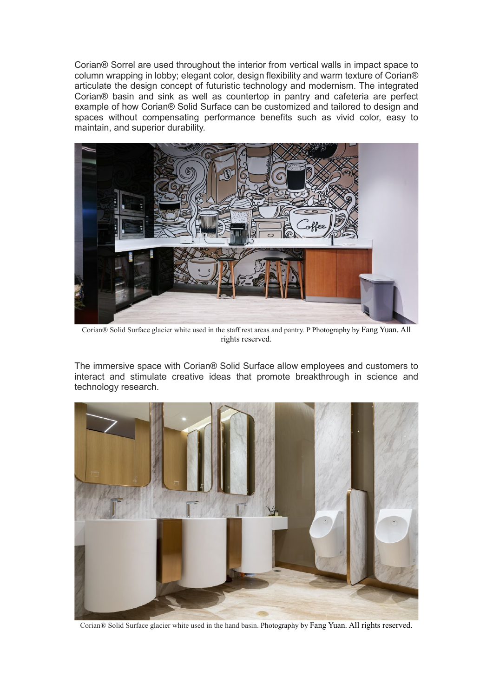Corian® Sorrel are used throughout the interior from vertical walls in impact space to column wrapping in lobby; elegant color, design flexibility and warm texture of Corian® articulate the design concept of futuristic technology and modernism. The integrated Corian® basin and sink as well as countertop in pantry and cafeteria are perfect example of how Corian® Solid Surface can be customized and tailored to design and spaces without compensating performance benefits such as vivid color, easy to maintain, and superior durability.



Corian® Solid Surface glacier white used in the staff rest areas and pantry. P Photography by Fang Yuan. All rights reserved.

The immersive space with Corian® Solid Surface allow employees and customers to interact and stimulate creative ideas that promote breakthrough in science and technology research.



Corian® Solid Surface glacier white used in the hand basin. Photography by Fang Yuan. All rights reserved.